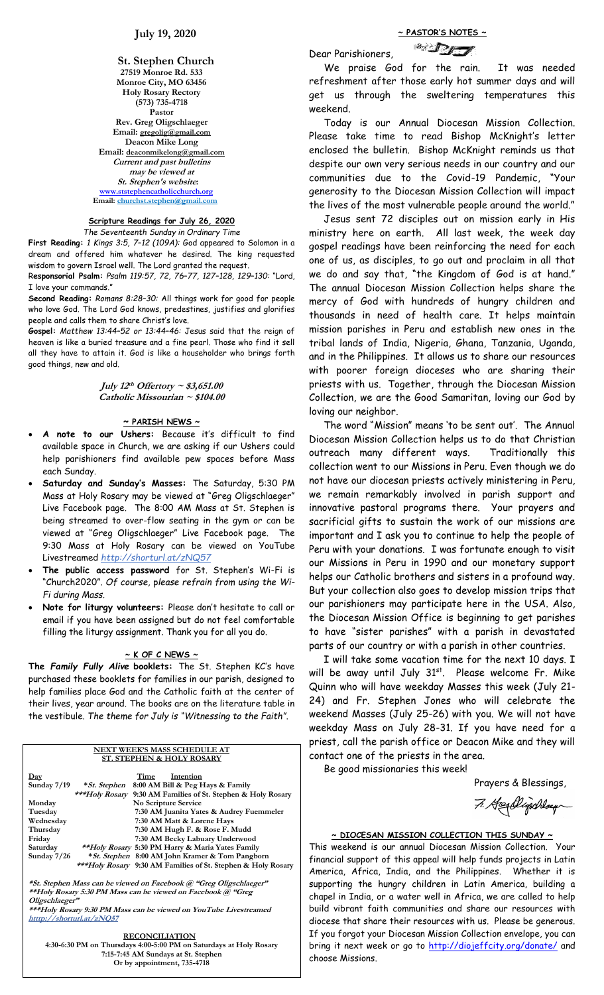#### **St. Stephen Church 27519 Monroe Rd. 533 Monroe City, MO 63456 Holy Rosary Rectory (573) 735-4718 Pastor Rev. Greg Oligschlaeger Email: gregolig@gmail.com Deacon Mike Long Email: deaconmikelong@gmail.com Current and past bulletins may be viewed at St. Stephen's website: [www.ststephencatholicchurch.org](http://www.ststephencatholicchurch.org/) Email: [churchst.stephen@gmail.com](mailto:churchst.stephen@gmail.com)**

# **Scripture Readings for July 26, 2020**

*The Seventeenth Sunday in Ordinary Time*

**First Reading:** *1 Kings 3:5, 7–12 (109A):* God appeared to Solomon in a dream and offered him whatever he desired. The king requested wisdom to govern Israel well. The Lord granted the request.

R**esponsorial Psalm:** *Psalm 119:57, 72, 76–77, 127–128, 129–130:* "Lord, I love your commands."

**Second Reading:** *Romans 8:28–30:* All things work for good for people who love God. The Lord God knows, predestines, justifies and glorifies people and calls them to share Christ's love.

**Gospel:** *Matthew 13:44–52 or 13:44–46:* Jesus said that the reign of heaven is like a buried treasure and a fine pearl. Those who find it sell all they have to attain it. God is like a householder who brings forth good things, new and old.

> **July 12 th Offertory ~ \$3,651.00 Catholic Missourian ~ \$104.00**

# **~ PARISH NEWS ~**

- **A note to our Ushers:** Because it's difficult to find available space in Church, we are asking if our Ushers could help parishioners find available pew spaces before Mass each Sunday.
- **Saturday and Sunday's Masses:** The Saturday, 5:30 PM Mass at Holy Rosary may be viewed at "Greg Oligschlaeger" Live Facebook page. The 8:00 AM Mass at St. Stephen is being streamed to over-flow seating in the gym or can be viewed at "Greg Oligschlaeger" Live Facebook page. The 9:30 Mass at Holy Rosary can be viewed on YouTube Livestreamed *http://shorturl.at/zNQ57*
- **The public access password** for St. Stephen's Wi-Fi is "Church2020". *Of course,* p*lease refrain from using the Wi-Fi during Mass.*
- **Note for liturgy volunteers:** Please don't hesitate to call or email if you have been assigned but do not feel comfortable filling the liturgy assignment. Thank you for all you do.

# **~ K OF C NEWS ~**

**The** *Family Fully Alive* **booklets:** The St. Stephen KC's have purchased these booklets for families in our parish, designed to help families place God and the Catholic faith at the center of their lives, year around. The books are on the literature table in the vestibule. *The theme for July is "Witnessing to the Faith"*.

#### **NEXT WEEK'S MASS SCHEDULE AT ST. STEPHEN & HOLY ROSARY**

| Day         | Time<br>Intention                                                    |
|-------------|----------------------------------------------------------------------|
| Sunday 7/19 | 8:00 AM Bill & Peg Hays & Family<br>* St. Stephen                    |
|             | ***Holy Rosary<br>9:30 AM Families of St. Stephen & Holy Rosary      |
| Monday      | No Scripture Service                                                 |
| Tuesday     | 7:30 AM Juanita Yates & Audrey Fuemmeler                             |
| Wednesday   | 7:30 AM Matt & Lorene Hays                                           |
| Thursday    | 7:30 AM Hugh F. & Rose F. Mudd                                       |
| Friday      | 7:30 AM Becky Labuary Underwood                                      |
| Saturday    | **Holy Rosary 5:30 PM Harry & Maria Yates Family                     |
| Sunday 7/26 | <i>* St. Stephen</i> 8:00 AM John Kramer & Tom Pangborn              |
|             | *** <i>Holy Rosary</i> 9:30 AM Families of St. Stephen & Holy Rosary |

**\*St. Stephen Mass can be viewed on Facebook @ "Greg Oligschlaeger" \*\*Holy Rosary 5:30 PM Mass can be viewed on Facebook @ "Greg Oligschlaeger"**

**\*\*\*Holy Rosary 9:30 PM Mass can be viewed on YouTube Livestreamed htttp://shorturl.at/zNQ57** 

#### **RECONCILIATION**

**4:30-6:30 PM on Thursdays 4:00-5:00 PM on Saturdays at Holy Rosary 7:15-7:45 AM Sundays at St. Stephen Or by appointment, 735-4718**

**~ PASTOR'S NOTES ~**

Dear Parishioners,



 We praise God for the rain. It was needed refreshment after those early hot summer days and will get us through the sweltering temperatures this weekend.

 Today is our Annual Diocesan Mission Collection. Please take time to read Bishop McKnight's letter enclosed the bulletin. Bishop McKnight reminds us that despite our own very serious needs in our country and our communities due to the Covid-19 Pandemic, "Your generosity to the Diocesan Mission Collection will impact the lives of the most vulnerable people around the world."

 Jesus sent 72 disciples out on mission early in His ministry here on earth. All last week, the week day gospel readings have been reinforcing the need for each one of us, as disciples, to go out and proclaim in all that we do and say that, "the Kingdom of God is at hand." The annual Diocesan Mission Collection helps share the mercy of God with hundreds of hungry children and thousands in need of health care. It helps maintain mission parishes in Peru and establish new ones in the tribal lands of India, Nigeria, Ghana, Tanzania, Uganda, and in the Philippines. It allows us to share our resources with poorer foreign dioceses who are sharing their priests with us. Together, through the Diocesan Mission Collection, we are the Good Samaritan, loving our God by loving our neighbor.

 The word "Mission" means 'to be sent out'. The Annual Diocesan Mission Collection helps us to do that Christian outreach many different ways. Traditionally this collection went to our Missions in Peru. Even though we do not have our diocesan priests actively ministering in Peru, we remain remarkably involved in parish support and innovative pastoral programs there. Your prayers and sacrificial gifts to sustain the work of our missions are important and I ask you to continue to help the people of Peru with your donations. I was fortunate enough to visit our Missions in Peru in 1990 and our monetary support helps our Catholic brothers and sisters in a profound way. But your collection also goes to develop mission trips that our parishioners may participate here in the USA. Also, the Diocesan Mission Office is beginning to get parishes to have "sister parishes" with a parish in devastated parts of our country or with a parish in other countries.

 I will take some vacation time for the next 10 days. I will be away until July 31<sup>st</sup>. Please welcome Fr. Mike Quinn who will have weekday Masses this week (July 21- 24) and Fr. Stephen Jones who will celebrate the weekend Masses (July 25-26) with you. We will not have weekday Mass on July 28-31. If you have need for a priest, call the parish office or Deacon Mike and they will contact one of the priests in the area.

Be good missionaries this week!

Prayers & Blessings,

7. Heenblijschlaug

# **~ DIOCESAN MISSION COLLECTION THIS SUNDAY ~** This weekend is our annual Diocesan Mission Collection. Your financial support of this appeal will help funds projects in Latin America, Africa, India, and the Philippines. Whether it is supporting the hungry children in Latin America, building a chapel in India, or a water well in Africa, we are called to help

build vibrant faith communities and share our resources with diocese that share their resources with us. Please be generous. If you forgot your Diocesan Mission Collection envelope, you can bring it next week or go to<http://diojeffcity.org/donate/> and choose Missions.